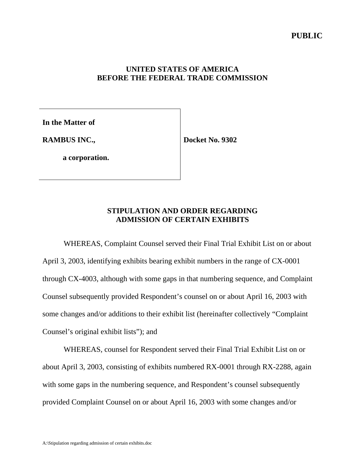## **UNITED STATES OF AMERICA BEFORE THE FEDERAL TRADE COMMISSION**

**In the Matter of**

**RAMBUS INC.,**

**Docket No. 9302**

**a corporation.**

# **STIPULATION AND ORDER REGARDING ADMISSION OF CERTAIN EXHIBITS**

WHEREAS, Complaint Counsel served their Final Trial Exhibit List on or about April 3, 2003, identifying exhibits bearing exhibit numbers in the range of CX-0001 through CX-4003, although with some gaps in that numbering sequence, and Complaint Counsel subsequently provided Respondent's counsel on or about April 16, 2003 with some changes and/or additions to their exhibit list (hereinafter collectively "Complaint Counsel's original exhibit lists"); and

WHEREAS, counsel for Respondent served their Final Trial Exhibit List on or about April 3, 2003, consisting of exhibits numbered RX-0001 through RX-2288, again with some gaps in the numbering sequence, and Respondent's counsel subsequently provided Complaint Counsel on or about April 16, 2003 with some changes and/or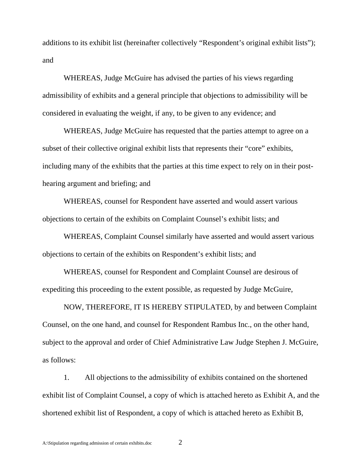additions to its exhibit list (hereinafter collectively "Respondent's original exhibit lists"); and

WHEREAS, Judge McGuire has advised the parties of his views regarding admissibility of exhibits and a general principle that objections to admissibility will be considered in evaluating the weight, if any, to be given to any evidence; and

WHEREAS, Judge McGuire has requested that the parties attempt to agree on a subset of their collective original exhibit lists that represents their "core" exhibits, including many of the exhibits that the parties at this time expect to rely on in their posthearing argument and briefing; and

WHEREAS, counsel for Respondent have asserted and would assert various objections to certain of the exhibits on Complaint Counsel's exhibit lists; and

WHEREAS, Complaint Counsel similarly have asserted and would assert various objections to certain of the exhibits on Respondent's exhibit lists; and

WHEREAS, counsel for Respondent and Complaint Counsel are desirous of expediting this proceeding to the extent possible, as requested by Judge McGuire,

NOW, THEREFORE, IT IS HEREBY STIPULATED, by and between Complaint Counsel, on the one hand, and counsel for Respondent Rambus Inc., on the other hand, subject to the approval and order of Chief Administrative Law Judge Stephen J. McGuire, as follows:

1. All objections to the admissibility of exhibits contained on the shortened exhibit list of Complaint Counsel, a copy of which is attached hereto as Exhibit A, and the shortened exhibit list of Respondent, a copy of which is attached hereto as Exhibit B,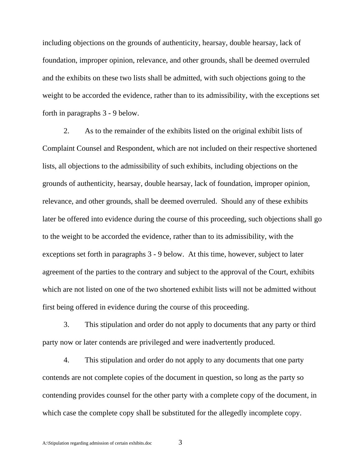including objections on the grounds of authenticity, hearsay, double hearsay, lack of foundation, improper opinion, relevance, and other grounds, shall be deemed overruled and the exhibits on these two lists shall be admitted, with such objections going to the weight to be accorded the evidence, rather than to its admissibility, with the exceptions set forth in paragraphs 3 - 9 below.

2. As to the remainder of the exhibits listed on the original exhibit lists of Complaint Counsel and Respondent, which are not included on their respective shortened lists, all objections to the admissibility of such exhibits, including objections on the grounds of authenticity, hearsay, double hearsay, lack of foundation, improper opinion, relevance, and other grounds, shall be deemed overruled. Should any of these exhibits later be offered into evidence during the course of this proceeding, such objections shall go to the weight to be accorded the evidence, rather than to its admissibility, with the exceptions set forth in paragraphs 3 - 9 below. At this time, however, subject to later agreement of the parties to the contrary and subject to the approval of the Court, exhibits which are not listed on one of the two shortened exhibit lists will not be admitted without first being offered in evidence during the course of this proceeding.

3. This stipulation and order do not apply to documents that any party or third party now or later contends are privileged and were inadvertently produced.

4. This stipulation and order do not apply to any documents that one party contends are not complete copies of the document in question, so long as the party so contending provides counsel for the other party with a complete copy of the document, in which case the complete copy shall be substituted for the allegedly incomplete copy.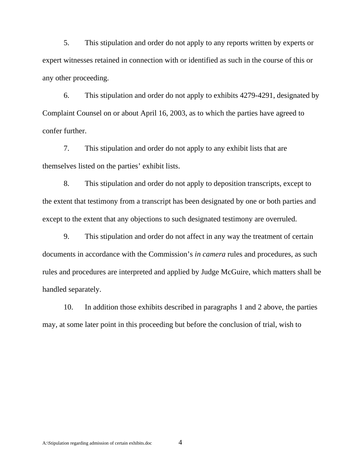5. This stipulation and order do not apply to any reports written by experts or expert witnesses retained in connection with or identified as such in the course of this or any other proceeding.

6. This stipulation and order do not apply to exhibits 4279-4291, designated by Complaint Counsel on or about April 16, 2003, as to which the parties have agreed to confer further.

7. This stipulation and order do not apply to any exhibit lists that are themselves listed on the parties' exhibit lists.

8. This stipulation and order do not apply to deposition transcripts, except to the extent that testimony from a transcript has been designated by one or both parties and except to the extent that any objections to such designated testimony are overruled.

9. This stipulation and order do not affect in any way the treatment of certain documents in accordance with the Commission's *in camera* rules and procedures, as such rules and procedures are interpreted and applied by Judge McGuire, which matters shall be handled separately.

10. In addition those exhibits described in paragraphs 1 and 2 above, the parties may, at some later point in this proceeding but before the conclusion of trial, wish to

A:\Stipulation regarding admission of certain exhibits.doc 4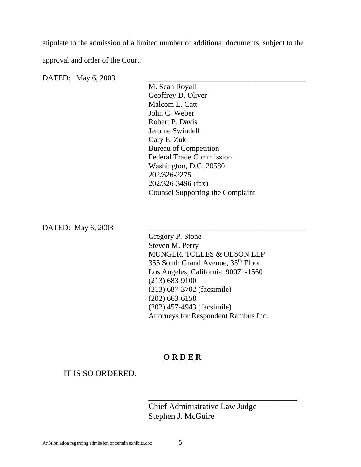stipulate to the admission of a limited number of additional documents, subject to the

approval and order of the Court.

DATED: May 6, 2003

M. Sean Royall Geoffrey D. Oliver Malcom L. Catt John C. Weber Robert P. Davis Jerome Swindell Cary E. Zuk Bureau of Competition Federal Trade Commission Washington, D.C. 20580 202/326-2275 202/326-3496 (fax) Counsel Supporting the Complaint

DATED: May 6, 2003

Gregory P. Stone Steven M. Perry MUNGER, TOLLES & OLSON LLP 355 South Grand Avenue, 35<sup>th</sup> Floor Los Angeles, California 90071-1560 (213) 683-9100 (213) 687-3702 (facsimile) (202) 663-6158 (202) 457-4943 (facsimile) Attorneys for Respondent Rambus Inc.

# **O R D E R**

IT IS SO ORDERED.

Chief Administrative Law Judge Stephen J. McGuire

\_\_\_\_\_\_\_\_\_\_\_\_\_\_\_\_\_\_\_\_\_\_\_\_\_\_\_\_\_\_\_\_\_\_\_\_